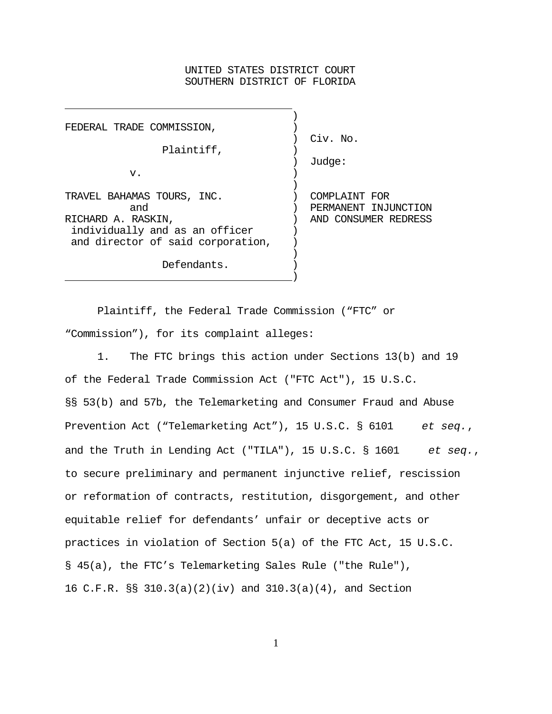# UNITED STATES DISTRICT COURT SOUTHERN DISTRICT OF FLORIDA

| FEDERAL TRADE COMMISSION,         |                      |  |
|-----------------------------------|----------------------|--|
|                                   | Civ. No.             |  |
| Plaintiff,                        |                      |  |
|                                   | Judge:               |  |
| v.                                |                      |  |
|                                   |                      |  |
| TRAVEL BAHAMAS TOURS, INC.        | COMPLAINT FOR        |  |
| and                               | PERMANENT INJUNCTION |  |
| RICHARD A. RASKIN,                | AND CONSUMER REDRESS |  |
| individually and as an officer    |                      |  |
| and director of said corporation, |                      |  |
|                                   |                      |  |
| Defendants.                       |                      |  |

l.

Plaintiff, the Federal Trade Commission ("FTC" or "Commission"), for its complaint alleges:

) and the contract of the contract of  $\mathcal{L}$ 

1. The FTC brings this action under Sections 13(b) and 19 of the Federal Trade Commission Act ("FTC Act"), 15 U.S.C. §§ 53(b) and 57b, the Telemarketing and Consumer Fraud and Abuse Prevention Act ("Telemarketing Act"), 15 U.S.C. § 6101 *et seq.*, and the Truth in Lending Act ("TILA"), 15 U.S.C. § 1601 *et seq.*, to secure preliminary and permanent injunctive relief, rescission or reformation of contracts, restitution, disgorgement, and other equitable relief for defendants' unfair or deceptive acts or practices in violation of Section 5(a) of the FTC Act, 15 U.S.C. § 45(a), the FTC's Telemarketing Sales Rule ("the Rule"), 16 C.F.R. §§ 310.3(a)(2)(iv) and 310.3(a)(4), and Section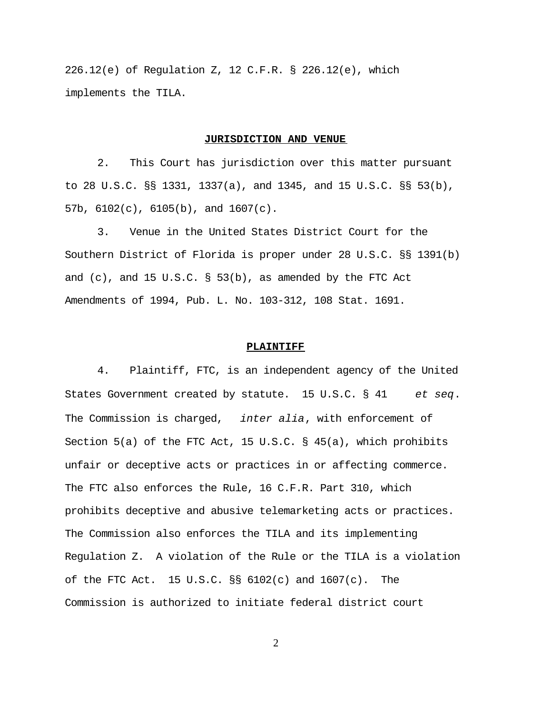226.12(e) of Regulation Z, 12 C.F.R. § 226.12(e), which implements the TILA.

## **JURISDICTION AND VENUE**

2. This Court has jurisdiction over this matter pursuant to 28 U.S.C. §§ 1331, 1337(a), and 1345, and 15 U.S.C. §§ 53(b), 57b, 6102(c), 6105(b), and 1607(c).

3. Venue in the United States District Court for the Southern District of Florida is proper under 28 U.S.C. §§ 1391(b) and (c), and 15 U.S.C.  $\S$  53(b), as amended by the FTC Act Amendments of 1994, Pub. L. No. 103-312, 108 Stat. 1691.

## **PLAINTIFF**

4. Plaintiff, FTC, is an independent agency of the United States Government created by statute. 15 U.S.C. § 41 *et seq*. The Commission is charged, *inter alia*, with enforcement of Section 5(a) of the FTC Act, 15 U.S.C. § 45(a), which prohibits unfair or deceptive acts or practices in or affecting commerce. The FTC also enforces the Rule, 16 C.F.R. Part 310, which prohibits deceptive and abusive telemarketing acts or practices. The Commission also enforces the TILA and its implementing Regulation Z. A violation of the Rule or the TILA is a violation of the FTC Act. 15 U.S.C.  $\S$ § 6102(c) and 1607(c). The Commission is authorized to initiate federal district court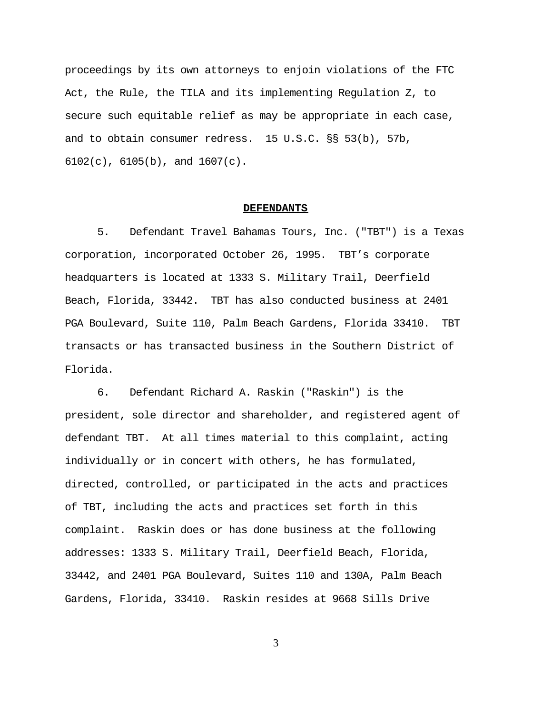proceedings by its own attorneys to enjoin violations of the FTC Act, the Rule, the TILA and its implementing Regulation Z, to secure such equitable relief as may be appropriate in each case, and to obtain consumer redress. 15 U.S.C. §§ 53(b), 57b,  $6102(c)$ ,  $6105(b)$ , and  $1607(c)$ .

#### **DEFENDANTS**

5. Defendant Travel Bahamas Tours, Inc. ("TBT") is a Texas corporation, incorporated October 26, 1995. TBT's corporate headquarters is located at 1333 S. Military Trail, Deerfield Beach, Florida, 33442. TBT has also conducted business at 2401 PGA Boulevard, Suite 110, Palm Beach Gardens, Florida 33410. TBT transacts or has transacted business in the Southern District of Florida.

6. Defendant Richard A. Raskin ("Raskin") is the president, sole director and shareholder, and registered agent of defendant TBT. At all times material to this complaint, acting individually or in concert with others, he has formulated, directed, controlled, or participated in the acts and practices of TBT, including the acts and practices set forth in this complaint. Raskin does or has done business at the following addresses: 1333 S. Military Trail, Deerfield Beach, Florida, 33442, and 2401 PGA Boulevard, Suites 110 and 130A, Palm Beach Gardens, Florida, 33410. Raskin resides at 9668 Sills Drive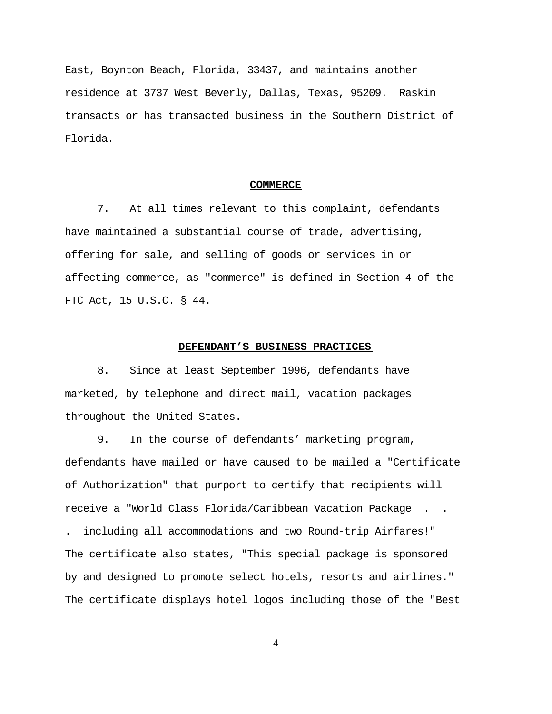East, Boynton Beach, Florida, 33437, and maintains another residence at 3737 West Beverly, Dallas, Texas, 95209. Raskin transacts or has transacted business in the Southern District of Florida.

#### **COMMERCE**

7. At all times relevant to this complaint, defendants have maintained a substantial course of trade, advertising, offering for sale, and selling of goods or services in or affecting commerce, as "commerce" is defined in Section 4 of the FTC Act, 15 U.S.C. § 44.

# **DEFENDANT'S BUSINESS PRACTICES**

8. Since at least September 1996, defendants have marketed, by telephone and direct mail, vacation packages throughout the United States.

9. In the course of defendants' marketing program, defendants have mailed or have caused to be mailed a "Certificate of Authorization" that purport to certify that recipients will receive a "World Class Florida/Caribbean Vacation Package . .

. including all accommodations and two Round-trip Airfares!" The certificate also states, "This special package is sponsored by and designed to promote select hotels, resorts and airlines." The certificate displays hotel logos including those of the "Best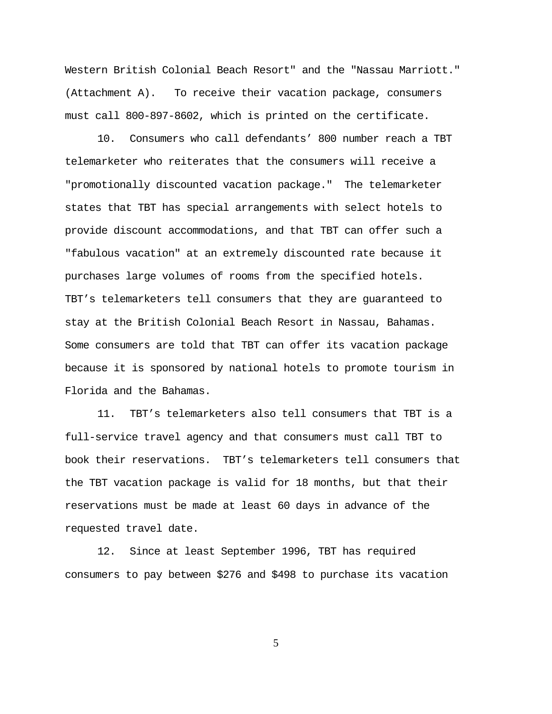Western British Colonial Beach Resort" and the "Nassau Marriott." (Attachment A). To receive their vacation package, consumers must call 800-897-8602, which is printed on the certificate.

10. Consumers who call defendants' 800 number reach a TBT telemarketer who reiterates that the consumers will receive a "promotionally discounted vacation package." The telemarketer states that TBT has special arrangements with select hotels to provide discount accommodations, and that TBT can offer such a "fabulous vacation" at an extremely discounted rate because it purchases large volumes of rooms from the specified hotels. TBT's telemarketers tell consumers that they are guaranteed to stay at the British Colonial Beach Resort in Nassau, Bahamas. Some consumers are told that TBT can offer its vacation package because it is sponsored by national hotels to promote tourism in Florida and the Bahamas.

11. TBT's telemarketers also tell consumers that TBT is a full-service travel agency and that consumers must call TBT to book their reservations. TBT's telemarketers tell consumers that the TBT vacation package is valid for 18 months, but that their reservations must be made at least 60 days in advance of the requested travel date.

12. Since at least September 1996, TBT has required consumers to pay between \$276 and \$498 to purchase its vacation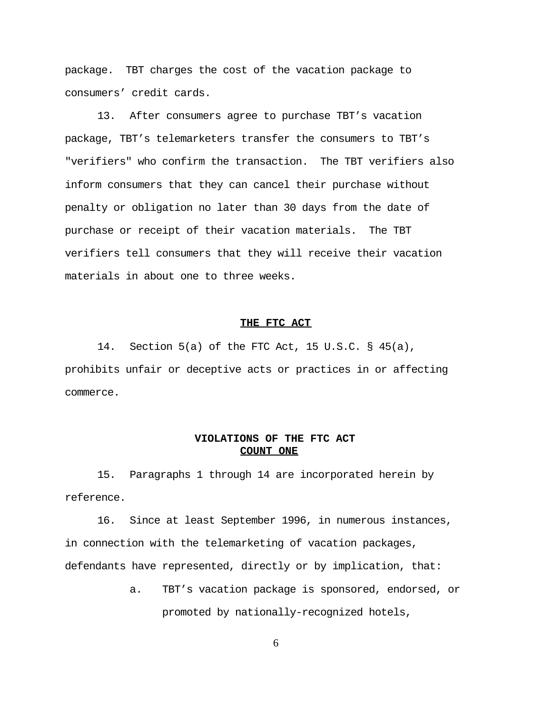package. TBT charges the cost of the vacation package to consumers' credit cards.

13. After consumers agree to purchase TBT's vacation package, TBT's telemarketers transfer the consumers to TBT's "verifiers" who confirm the transaction. The TBT verifiers also inform consumers that they can cancel their purchase without penalty or obligation no later than 30 days from the date of purchase or receipt of their vacation materials. The TBT verifiers tell consumers that they will receive their vacation materials in about one to three weeks.

## **THE FTC ACT**

14. Section 5(a) of the FTC Act, 15 U.S.C. § 45(a), prohibits unfair or deceptive acts or practices in or affecting commerce.

# **VIOLATIONS OF THE FTC ACT COUNT ONE**

15. Paragraphs 1 through 14 are incorporated herein by reference.

16. Since at least September 1996, in numerous instances, in connection with the telemarketing of vacation packages, defendants have represented, directly or by implication, that:

> a. TBT's vacation package is sponsored, endorsed, or promoted by nationally-recognized hotels,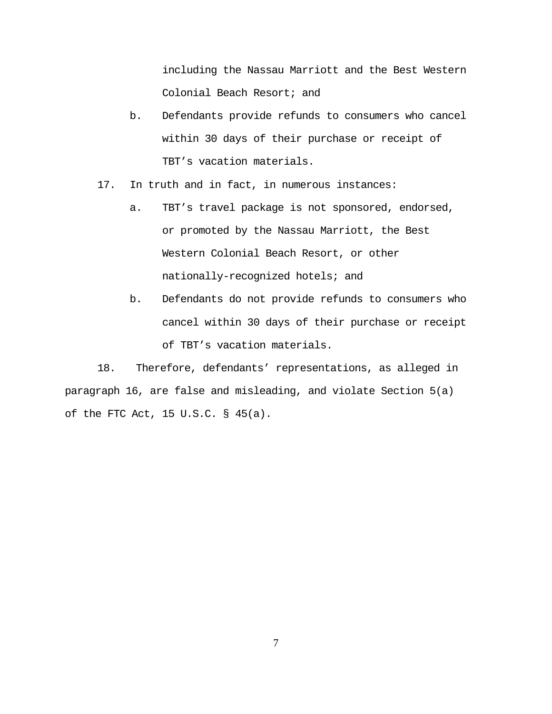including the Nassau Marriott and the Best Western Colonial Beach Resort; and

- b. Defendants provide refunds to consumers who cancel within 30 days of their purchase or receipt of TBT's vacation materials.
- 17. In truth and in fact, in numerous instances:
	- a. TBT's travel package is not sponsored, endorsed, or promoted by the Nassau Marriott, the Best Western Colonial Beach Resort, or other nationally-recognized hotels; and
	- b. Defendants do not provide refunds to consumers who cancel within 30 days of their purchase or receipt of TBT's vacation materials.

18. Therefore, defendants' representations, as alleged in paragraph 16, are false and misleading, and violate Section 5(a) of the FTC Act, 15 U.S.C. § 45(a).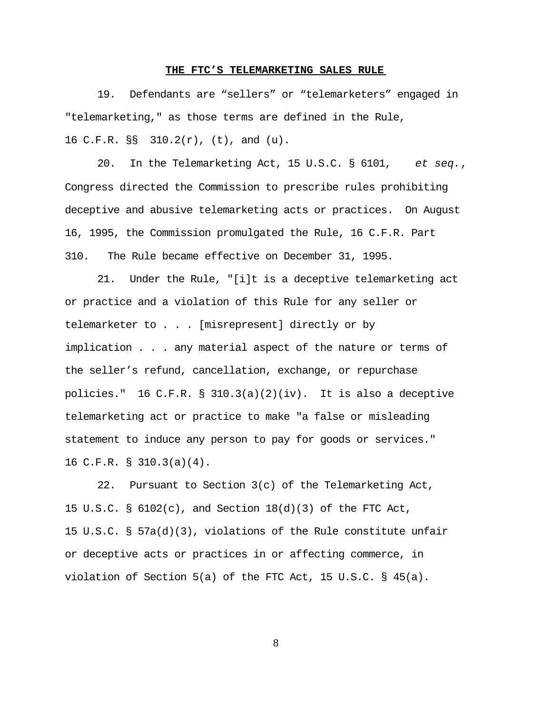#### **THE FTC'S TELEMARKETING SALES RULE**

19. Defendants are "sellers" or "telemarketers" engaged in "telemarketing," as those terms are defined in the Rule, 16 C.F.R. §§ 310.2(r), (t), and (u).

20. In the Telemarketing Act, 15 U.S.C. § 6101, *et seq.*, Congress directed the Commission to prescribe rules prohibiting deceptive and abusive telemarketing acts or practices. On August 16, 1995, the Commission promulgated the Rule, 16 C.F.R. Part 310. The Rule became effective on December 31, 1995.

21. Under the Rule, "[i]t is a deceptive telemarketing act or practice and a violation of this Rule for any seller or telemarketer to . . . [misrepresent] directly or by implication . . . any material aspect of the nature or terms of the seller's refund, cancellation, exchange, or repurchase policies." 16 C.F.R. § 310.3(a)(2)(iv). It is also a deceptive telemarketing act or practice to make "a false or misleading statement to induce any person to pay for goods or services." 16 C.F.R. § 310.3(a)(4).

22. Pursuant to Section 3(c) of the Telemarketing Act, 15 U.S.C. § 6102(c), and Section 18(d)(3) of the FTC Act, 15 U.S.C. § 57a(d)(3), violations of the Rule constitute unfair or deceptive acts or practices in or affecting commerce, in violation of Section 5(a) of the FTC Act, 15 U.S.C. § 45(a).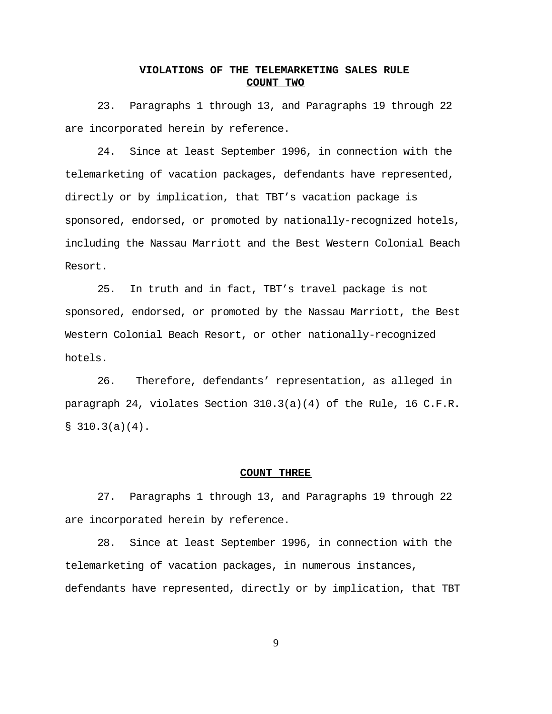# **VIOLATIONS OF THE TELEMARKETING SALES RULE COUNT TWO**

23. Paragraphs 1 through 13, and Paragraphs 19 through 22 are incorporated herein by reference.

24. Since at least September 1996, in connection with the telemarketing of vacation packages, defendants have represented, directly or by implication, that TBT's vacation package is sponsored, endorsed, or promoted by nationally-recognized hotels, including the Nassau Marriott and the Best Western Colonial Beach Resort.

25. In truth and in fact, TBT's travel package is not sponsored, endorsed, or promoted by the Nassau Marriott, the Best Western Colonial Beach Resort, or other nationally-recognized hotels.

26. Therefore, defendants' representation, as alleged in paragraph 24, violates Section 310.3(a)(4) of the Rule, 16 C.F.R.  $$310.3(a)(4).$ 

## **COUNT THREE**

27. Paragraphs 1 through 13, and Paragraphs 19 through 22 are incorporated herein by reference.

28. Since at least September 1996, in connection with the telemarketing of vacation packages, in numerous instances, defendants have represented, directly or by implication, that TBT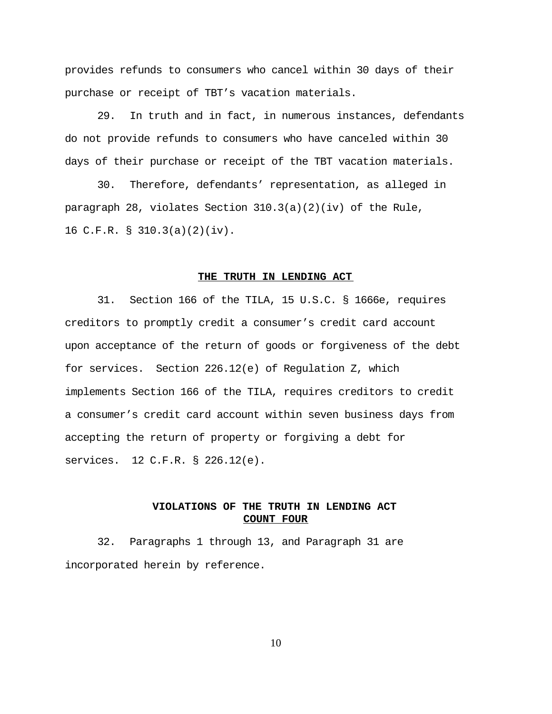provides refunds to consumers who cancel within 30 days of their purchase or receipt of TBT's vacation materials.

29. In truth and in fact, in numerous instances, defendants do not provide refunds to consumers who have canceled within 30 days of their purchase or receipt of the TBT vacation materials.

30. Therefore, defendants' representation, as alleged in paragraph 28, violates Section 310.3(a)(2)(iv) of the Rule, 16 C.F.R. § 310.3(a)(2)(iv).

## **THE TRUTH IN LENDING ACT**

31. Section 166 of the TILA, 15 U.S.C. § 1666e, requires creditors to promptly credit a consumer's credit card account upon acceptance of the return of goods or forgiveness of the debt for services. Section 226.12(e) of Regulation Z, which implements Section 166 of the TILA, requires creditors to credit a consumer's credit card account within seven business days from accepting the return of property or forgiving a debt for services. 12 C.F.R. § 226.12(e).

# **VIOLATIONS OF THE TRUTH IN LENDING ACT COUNT FOUR**

32. Paragraphs 1 through 13, and Paragraph 31 are incorporated herein by reference.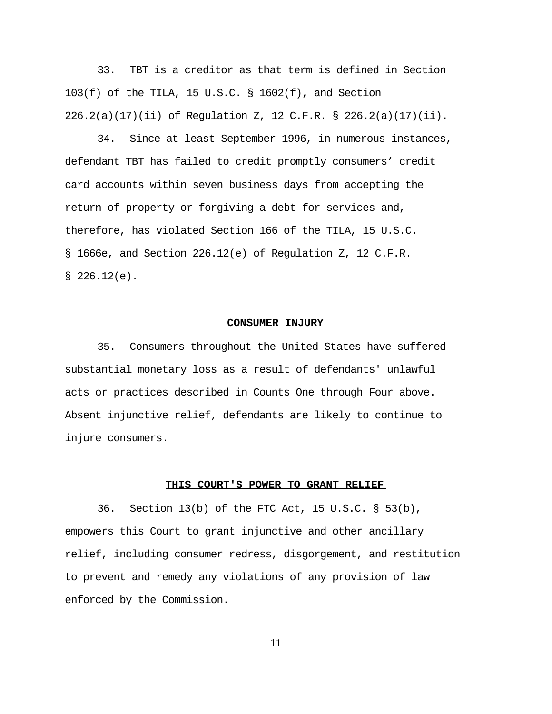33. TBT is a creditor as that term is defined in Section 103(f) of the TILA, 15 U.S.C. § 1602(f), and Section 226.2(a)(17)(ii) of Regulation Z, 12 C.F.R. § 226.2(a)(17)(ii).

34. Since at least September 1996, in numerous instances, defendant TBT has failed to credit promptly consumers' credit card accounts within seven business days from accepting the return of property or forgiving a debt for services and, therefore, has violated Section 166 of the TILA, 15 U.S.C. § 1666e, and Section 226.12(e) of Regulation Z, 12 C.F.R.  $$226.12(e)$ .

## **CONSUMER INJURY**

35. Consumers throughout the United States have suffered substantial monetary loss as a result of defendants' unlawful acts or practices described in Counts One through Four above. Absent injunctive relief, defendants are likely to continue to injure consumers.

## **THIS COURT'S POWER TO GRANT RELIEF**

36. Section 13(b) of the FTC Act, 15 U.S.C. § 53(b), empowers this Court to grant injunctive and other ancillary relief, including consumer redress, disgorgement, and restitution to prevent and remedy any violations of any provision of law enforced by the Commission.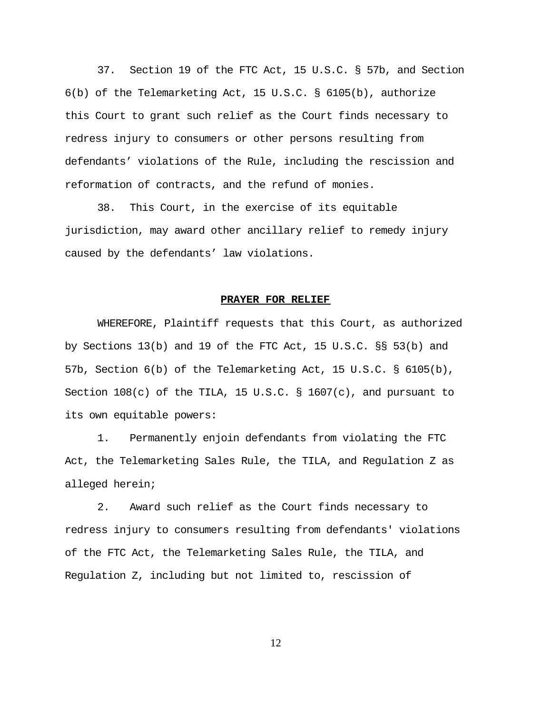37. Section 19 of the FTC Act, 15 U.S.C. § 57b, and Section 6(b) of the Telemarketing Act, 15 U.S.C. § 6105(b), authorize this Court to grant such relief as the Court finds necessary to redress injury to consumers or other persons resulting from defendants' violations of the Rule, including the rescission and reformation of contracts, and the refund of monies.

38. This Court, in the exercise of its equitable jurisdiction, may award other ancillary relief to remedy injury caused by the defendants' law violations.

#### **PRAYER FOR RELIEF**

WHEREFORE, Plaintiff requests that this Court, as authorized by Sections 13(b) and 19 of the FTC Act, 15 U.S.C. §§ 53(b) and 57b, Section 6(b) of the Telemarketing Act, 15 U.S.C. § 6105(b), Section  $108(c)$  of the TILA, 15 U.S.C. § 1607(c), and pursuant to its own equitable powers:

1. Permanently enjoin defendants from violating the FTC Act, the Telemarketing Sales Rule, the TILA, and Regulation Z as alleged herein;

2. Award such relief as the Court finds necessary to redress injury to consumers resulting from defendants' violations of the FTC Act, the Telemarketing Sales Rule, the TILA, and Regulation Z, including but not limited to, rescission of